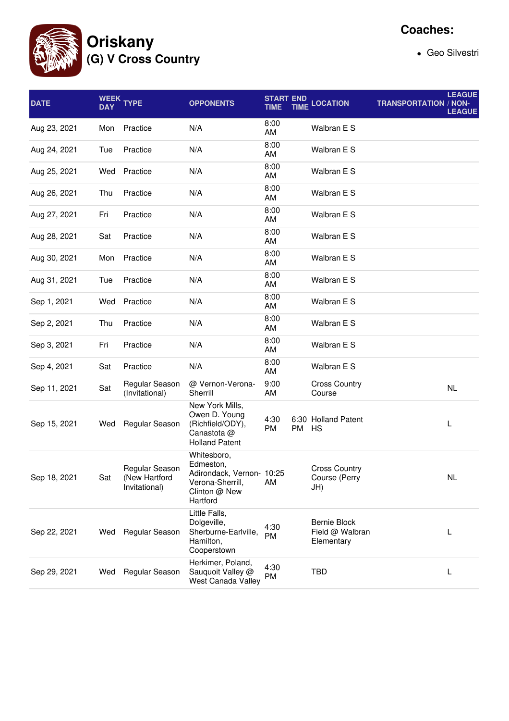

## **Coaches:**

Geo Silvestri

| <b>DATE</b>  | <b>DAY</b> | WEEK TYPE                                        | <b>OPPONENTS</b>                                                                                       | <b>START END</b><br>TIME |       | <b>TIME LOCATION</b>                                 | <b>TRANSPORTATION / NON-</b> | <b>LEAGUE</b><br><b>LEAGUE</b> |
|--------------|------------|--------------------------------------------------|--------------------------------------------------------------------------------------------------------|--------------------------|-------|------------------------------------------------------|------------------------------|--------------------------------|
| Aug 23, 2021 | Mon        | Practice                                         | N/A                                                                                                    | 8:00<br>AM               |       | Walbran E S                                          |                              |                                |
| Aug 24, 2021 | Tue        | Practice                                         | N/A                                                                                                    | 8:00<br>AM               |       | Walbran E S                                          |                              |                                |
| Aug 25, 2021 | Wed        | Practice                                         | N/A                                                                                                    | 8:00<br>AM               |       | Walbran E S                                          |                              |                                |
| Aug 26, 2021 | Thu        | Practice                                         | N/A                                                                                                    | 8:00<br>AM               |       | Walbran E S                                          |                              |                                |
| Aug 27, 2021 | Fri        | Practice                                         | N/A                                                                                                    | 8:00<br>AM               |       | Walbran E S                                          |                              |                                |
| Aug 28, 2021 | Sat        | Practice                                         | N/A                                                                                                    | 8:00<br>AM               |       | Walbran E S                                          |                              |                                |
| Aug 30, 2021 | Mon        | Practice                                         | N/A                                                                                                    | 8:00<br>AM               |       | Walbran E S                                          |                              |                                |
| Aug 31, 2021 | Tue        | Practice                                         | N/A                                                                                                    | 8:00<br>AM               |       | Walbran E S                                          |                              |                                |
| Sep 1, 2021  | Wed        | Practice                                         | N/A                                                                                                    | 8:00<br>AM               |       | Walbran E S                                          |                              |                                |
| Sep 2, 2021  | Thu        | Practice                                         | N/A                                                                                                    | 8:00<br>AM               |       | Walbran E S                                          |                              |                                |
| Sep 3, 2021  | Fri        | Practice                                         | N/A                                                                                                    | 8:00<br>AM               |       | Walbran E S                                          |                              |                                |
| Sep 4, 2021  | Sat        | Practice                                         | N/A                                                                                                    | 8:00<br>AM               |       | Walbran E S                                          |                              |                                |
| Sep 11, 2021 | Sat        | Regular Season<br>(Invitational)                 | @ Vernon-Verona-<br>Sherrill                                                                           | 9:00<br>AM               |       | <b>Cross Country</b><br>Course                       |                              | NL                             |
| Sep 15, 2021 | Wed        | Regular Season                                   | New York Mills,<br>Owen D. Young<br>(Richfield/ODY),<br>Canastota @<br><b>Holland Patent</b>           | 4:30<br>PM               | PM HS | 6:30 Holland Patent                                  |                              | L                              |
| Sep 18, 2021 | Sat        | Regular Season<br>(New Hartford<br>Invitational) | Whitesboro,<br>Edmeston,<br>Adirondack, Vernon- 10:25<br>Verona-Sherrill,<br>Clinton @ New<br>Hartford | AM                       |       | <b>Cross Country</b><br>Course (Perry<br>JH)         |                              | <b>NL</b>                      |
| Sep 22, 2021 | Wed        | Regular Season                                   | Little Falls,<br>Dolgeville,<br>Sherburne-Earlville,<br>Hamilton,<br>Cooperstown                       | 4:30<br>PM               |       | <b>Bernie Block</b><br>Field @ Walbran<br>Elementary |                              | L                              |
| Sep 29, 2021 | Wed        | Regular Season                                   | Herkimer, Poland,<br>Sauquoit Valley @<br>West Canada Valley                                           | 4:30<br>PM               |       | TBD                                                  |                              | L                              |